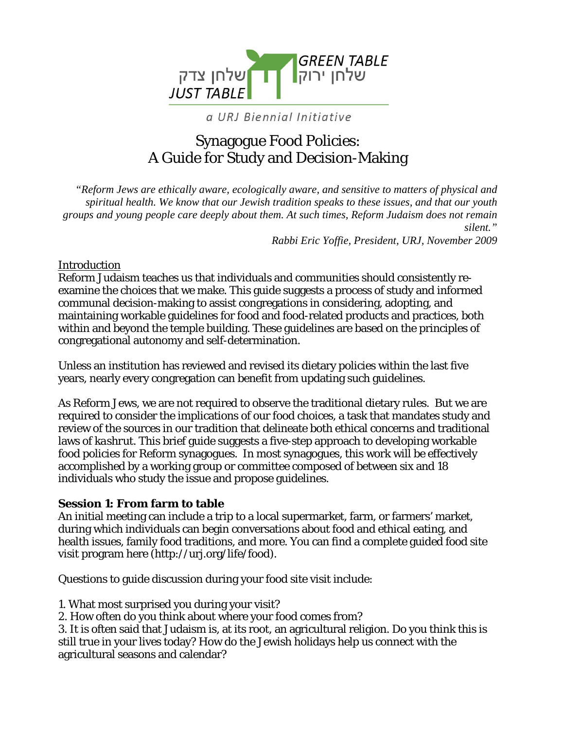

### a URJ Biennial Initiative

# Synagogue Food Policies: A Guide for Study and Decision-Making

*"Reform Jews are ethically aware, ecologically aware, and sensitive to matters of physical and spiritual health. We know that our Jewish tradition speaks to these issues, and that our youth groups and young people care deeply about them. At such times, Reform Judaism does not remain silent."* 

*Rabbi Eric Yoffie, President, URJ, November 2009* 

#### **Introduction**

Reform Judaism teaches us that individuals and communities should consistently reexamine the choices that we make. This guide suggests a process of study and informed communal decision-making to assist congregations in considering, adopting, and maintaining workable guidelines for food and food-related products and practices, both within and beyond the temple building. These guidelines are based on the principles of congregational autonomy and self-determination.

Unless an institution has reviewed and revised its dietary policies within the last five years, nearly every congregation can benefit from updating such guidelines.

As Reform Jews, we are not required to observe the traditional dietary rules. But we are required to consider the implications of our food choices, a task that mandates study and review of the sources in our tradition that delineate both ethical concerns and traditional laws of *kashrut*. This brief guide suggests a five-step approach to developing workable food policies for Reform synagogues. In most synagogues, this work will be effectively accomplished by a working group or committee composed of between six and 18 individuals who study the issue and propose guidelines.

### **Session 1: From farm to table**

An initial meeting can include a trip to a local supermarket, farm, or farmers' market, during which individuals can begin conversations about food and ethical eating, and health issues, family food traditions, and more. You can find a complete guided food site visit program here (http://urj.org/life/food).

Questions to guide discussion during your food site visit include:

1. What most surprised you during your visit?

2. How often do you think about where your food comes from?

3. It is often said that Judaism is, at its root, an agricultural religion. Do you think this is still true in your lives today? How do the Jewish holidays help us connect with the agricultural seasons and calendar?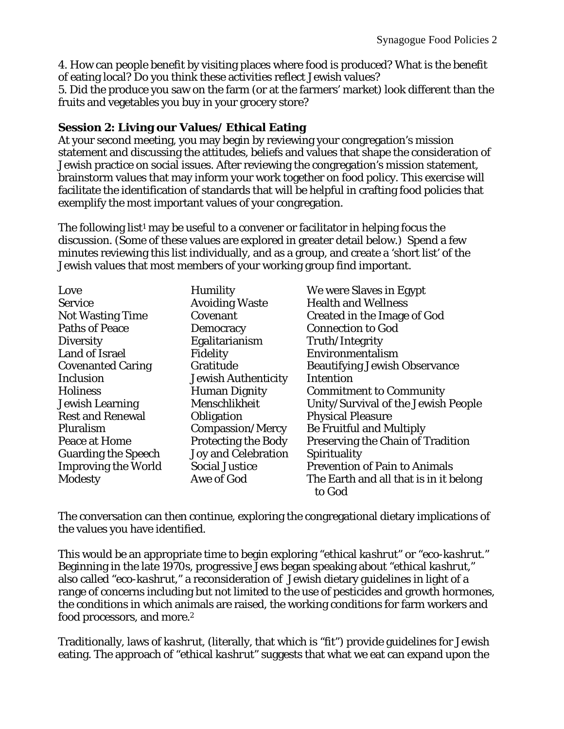4. How can people benefit by visiting places where food is produced? What is the benefit of eating local? Do you think these activities reflect Jewish values?

5. Did the produce you saw on the farm (or at the farmers' market) look different than the fruits and vegetables you buy in your grocery store?

### **Session 2: Living our Values/ Ethical Eating**

At your second meeting, you may begin by reviewing your congregation's mission statement and discussing the attitudes, beliefs and values that shape the consideration of Jewish practice on social issues. After reviewing the congregation's mission statement, brainstorm values that may inform your work together on food policy. This exercise will facilitate the identification of standards that will be helpful in crafting food policies that exemplify the most important values of your congregation.

The following list<sup>1</sup> may be useful to a convener or facilitator in helping focus the discussion. (Some of these values are explored in greater detail below.) Spend a few minutes reviewing this list individually, and as a group, and create a 'short list' of the Jewish values that most members of your working group find important.

| Love                       | <b>Humility</b>            | We were Slaves in Egypt                          |
|----------------------------|----------------------------|--------------------------------------------------|
| <b>Service</b>             | <b>Avoiding Waste</b>      | <b>Health and Wellness</b>                       |
| <b>Not Wasting Time</b>    | Covenant                   | <b>Created in the Image of God</b>               |
| <b>Paths of Peace</b>      | Democracy                  | <b>Connection to God</b>                         |
| <b>Diversity</b>           | Egalitarianism             | Truth/Integrity                                  |
| <b>Land of Israel</b>      | Fidelity                   | Environmentalism                                 |
| <b>Covenanted Caring</b>   | Gratitude                  | <b>Beautifying Jewish Observance</b>             |
| Inclusion                  | <b>Jewish Authenticity</b> | Intention                                        |
| <b>Holiness</b>            | <b>Human Dignity</b>       | <b>Commitment to Community</b>                   |
| <b>Jewish Learning</b>     | Menschlikheit              | Unity/Survival of the Jewish People              |
| <b>Rest and Renewal</b>    | Obligation                 | <b>Physical Pleasure</b>                         |
| Pluralism                  | Compassion/Mercy           | <b>Be Fruitful and Multiply</b>                  |
| Peace at Home              | <b>Protecting the Body</b> | Preserving the Chain of Tradition                |
| <b>Guarding the Speech</b> | <b>Joy and Celebration</b> | Spirituality                                     |
| <b>Improving the World</b> | <b>Social Justice</b>      | <b>Prevention of Pain to Animals</b>             |
| <b>Modesty</b>             | Awe of God                 | The Earth and all that is in it belong<br>to God |

The conversation can then continue, exploring the congregational dietary implications of the values you have identified.

This would be an appropriate time to begin exploring "ethical *kashrut*" or "eco-*kashrut*." Beginning in the late 1970s, progressive Jews began speaking about "ethical *kashrut*," also called "eco-*kashrut*," a reconsideration of Jewish dietary guidelines in light of a range of concerns including but not limited to the use of pesticides and growth hormones, the conditions in which animals are raised, the working conditions for farm workers and food processors, and more.2

Traditionally, laws of *kashrut*, (literally, that which is "fit") provide guidelines for Jewish eating. The approach of "ethical *kashrut*" suggests that what we eat can expand upon the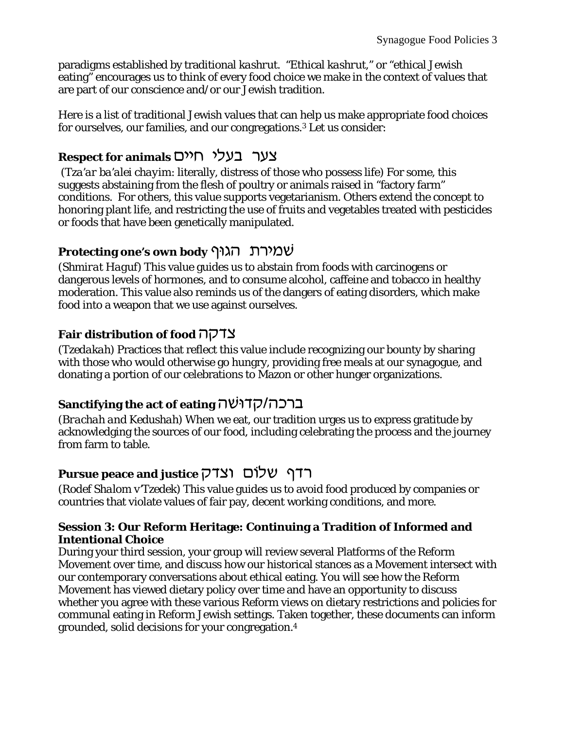paradigms established by traditional *kashrut*. "Ethical *kashrut*," or "ethical Jewish eating" encourages us to think of every food choice we make in the context of values that are part of our conscience and/or our Jewish tradition.

Here is a list of traditional Jewish values that can help us make appropriate food choices for ourselves, our families, and our congregations.3 Let us consider:

# **Respect for animals כעלי חיים**

 (*Tza'ar ba'alei chayim*: literally, distress of those who possess life) For some, this suggests abstaining from the flesh of poultry or animals raised in "factory farm" conditions. For others, this value supports vegetarianism. Others extend the concept to honoring plant life, and restricting the use of fruits and vegetables treated with pesticides or foods that have been genetically manipulated.

## **Protecting one's own body שמירת הגוּף**

(*Shmirat Haguf*) This value guides us to abstain from foods with carcinogens or dangerous levels of hormones, and to consume alcohol, caffeine and tobacco in healthy moderation. This value also reminds us of the dangers of eating disorders, which make food into a weapon that we use against ourselves.

### **Fair distribution of food コワコン**

(*Tzedakah*) Practices that reflect this value include recognizing our bounty by sharing with those who would otherwise go hungry, providing free meals at our synagogue, and donating a portion of our celebrations to Mazon or other hunger organizations.

# **Sanctifying the act of eating** *ערכה/קדו***שה**

(*Brachah and Kedushah*) When we eat, our tradition urges us to express gratitude by acknowledging the sources of our food, including celebrating the process and the journey from farm to table.

# **Pursue peace and justice**  $\overline{C}$  וצדק  $\overline{C}$

(*Rodef Shalom v'Tzedek*) This value guides us to avoid food produced by companies or countries that violate values of fair pay, decent working conditions, and more.

### **Session 3: Our Reform Heritage: Continuing a Tradition of Informed and Intentional Choice**

During your third session, your group will review several Platforms of the Reform Movement over time, and discuss how our historical stances as a Movement intersect with our contemporary conversations about ethical eating. You will see how the Reform Movement has viewed dietary policy over time and have an opportunity to discuss whether you agree with these various Reform views on dietary restrictions and policies for communal eating in Reform Jewish settings. Taken together, these documents can inform grounded, solid decisions for your congregation.4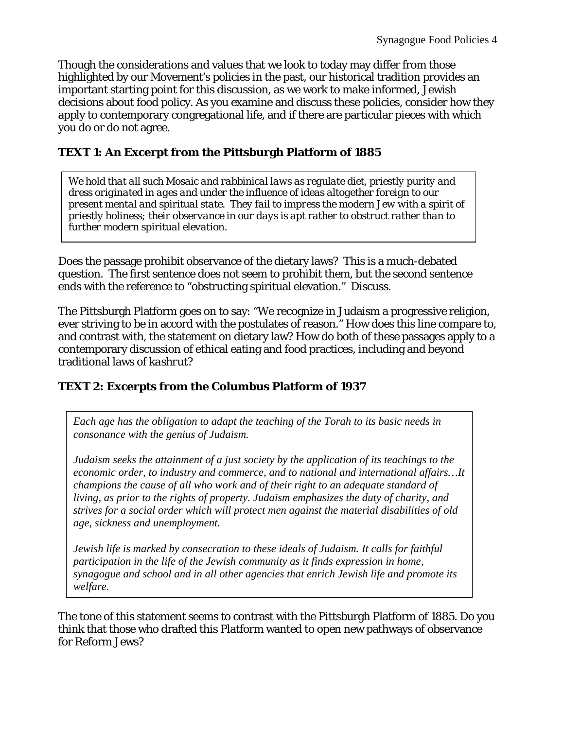Though the considerations and values that we look to today may differ from those highlighted by our Movement's policies in the past, our historical tradition provides an important starting point for this discussion, as we work to make informed, Jewish decisions about food policy. As you examine and discuss these policies, consider how they apply to contemporary congregational life, and if there are particular pieces with which you do or do not agree.

### **TEXT 1: An Excerpt from the Pittsburgh Platform of 1885**

*We hold that all such Mosaic and rabbinical laws as regulate diet, priestly purity and dress originated in ages and under the influence of ideas altogether foreign to our present mental and spiritual state. They fail to impress the modern Jew with a spirit of priestly holiness; their observance in our days is apt rather to obstruct rather than to further modern spiritual elevation.* 

Does the passage prohibit observance of the dietary laws? This is a much-debated question. The first sentence does not seem to prohibit them, but the second sentence ends with the reference to "obstructing spiritual elevation." Discuss.

The Pittsburgh Platform goes on to say: "We recognize in Judaism a progressive religion, ever striving to be in accord with the postulates of reason." How does this line compare to, and contrast with, the statement on dietary law? How do both of these passages apply to a contemporary discussion of ethical eating and food practices, including and beyond traditional laws of *kashrut*?

### **TEXT 2: Excerpts from the Columbus Platform of 1937**

*Each age has the obligation to adapt the teaching of the Torah to its basic needs in consonance with the genius of Judaism.* 

*Judaism seeks the attainment of a just society by the application of its teachings to the economic order, to industry and commerce, and to national and international affairs…It champions the cause of all who work and of their right to an adequate standard of living, as prior to the rights of property. Judaism emphasizes the duty of charity, and strives for a social order which will protect men against the material disabilities of old age, sickness and unemployment.* 

*Jewish life is marked by consecration to these ideals of Judaism. It calls for faithful participation in the life of the Jewish community as it finds expression in home, synagogue and school and in all other agencies that enrich Jewish life and promote its welfare.* 

The tone of this statement seems to contrast with the Pittsburgh Platform of 1885. Do you think that those who drafted this Platform wanted to open new pathways of observance for Reform Jews?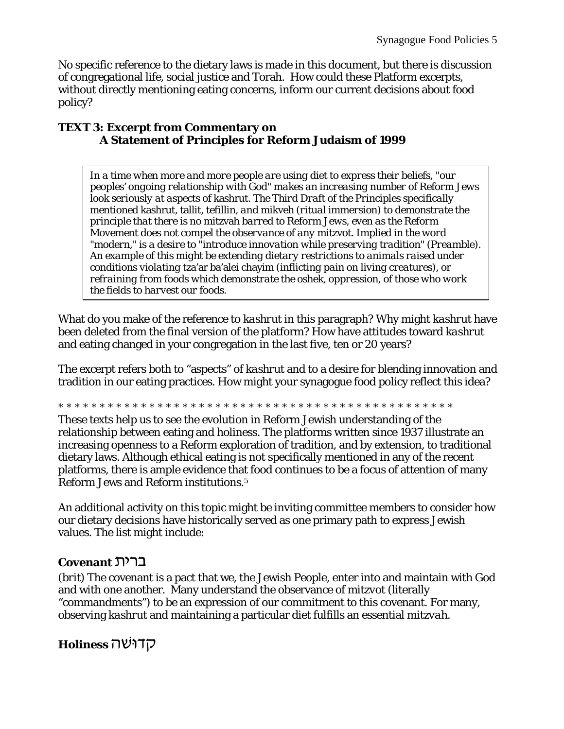No specific reference to the dietary laws is made in this document, but there is discussion of congregational life, social justice and Torah. How could these Platform excerpts, without directly mentioning eating concerns, inform our current decisions about food policy?

#### **TEXT 3: Excerpt from Commentary on A Statement of Principles for Reform Judaism of 1999**

*In a time when more and more people are using diet to express their beliefs, "our peoples' ongoing relationship with God" makes an increasing number of Reform Jews look seriously at aspects of* kashrut*. The Third Draft of the Principles specifically mentioned* kashrut, tallit, tefillin*, and* mikveh *(ritual immersion) to demonstrate the principle that there is no* mitzvah *barred to Reform Jews, even as the Reform Movement does not compel the observance of any* mitzvot*. Implied in the word "modern," is a desire to "introduce innovation while preserving tradition" (Preamble). An example of this might be extending dietary restrictions to animals raised under conditions violating* tza'ar ba'alei chayim *(inflicting pain on living creatures), or refraining from foods which demonstrate the* oshek*, oppression, of those who work the fields to harvest our foods.* 

What do you make of the reference to *kashrut* in this paragraph? Why might *kashrut* have been deleted from the final version of the platform? How have attitudes toward *kashrut* and eating changed in your congregation in the last five, ten or 20 years?

The excerpt refers both to "aspects" of *kashrut* and to a desire for blending innovation and tradition in our eating practices. How might your synagogue food policy reflect this idea?

\* \* \* \* \* \* \* \* \* \* \* \* \* \* \* \* \* \* \* \* \* \* \* \* \* \* \* \* \* \* \* \* \* \* \* \* \* \* \* \* \* \* \* \* \* \* \* \*

These texts help us to see the evolution in Reform Jewish understanding of the relationship between eating and holiness. The platforms written since 1937 illustrate an increasing openness to a Reform exploration of tradition, and by extension, to traditional dietary laws. Although ethical eating is not specifically mentioned in any of the recent platforms, there is ample evidence that food continues to be a focus of attention of many Reform Jews and Reform institutions.5

An additional activity on this topic might be inviting committee members to consider how our dietary decisions have historically served as one primary path to express Jewish values. The list might include:

### **Covenant** ברית

(*brit*) The covenant is a pact that we, the Jewish People, enter into and maintain with God and with one another. Many understand the observance of *mitzvot* (literally "commandments") to be an expression of our commitment to this covenant. For many, observing *kashrut* and maintaining a particular diet fulfills an essential *mitzvah*.

### **Holiness אֲדוּשׁה**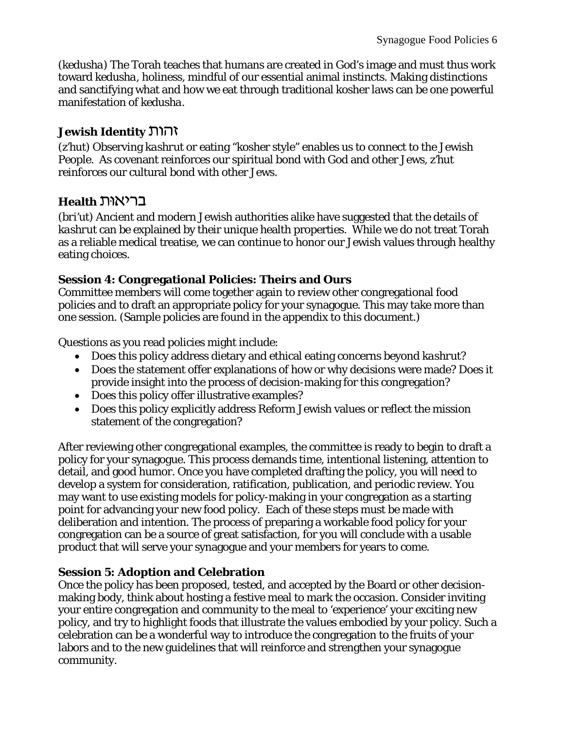(*kedusha*) The Torah teaches that humans are created in God's image and must thus work toward *kedusha*, holiness, mindful of our essential animal instincts. Making distinctions and sanctifying what and how we eat through traditional kosher laws can be one powerful manifestation of *kedusha*.

### **Jewish Identity** *Mill*

(*z'hut*) Observing *kashrut* or eating "kosher style" enables us to connect to the Jewish People. As covenant reinforces our spiritual bond with God and other Jews, *z'hut*  reinforces our cultural bond with other Jews.

### **Health בריאוּת**

(*bri'ut*) Ancient and modern Jewish authorities alike have suggested that the details of *kashrut* can be explained by their unique health properties. While we do not treat Torah as a reliable medical treatise, we can continue to honor our Jewish values through healthy eating choices.

### **Session 4: Congregational Policies: Theirs and Ours**

Committee members will come together again to review other congregational food policies and to draft an appropriate policy for your synagogue. This may take more than one session. (Sample policies are found in the appendix to this document.)

Questions as you read policies might include:

- Does this policy address dietary and ethical eating concerns beyond *kashrut*?
- Does the statement offer explanations of how or why decisions were made? Does it provide insight into the process of decision-making for this congregation?
- Does this policy offer illustrative examples?
- Does this policy explicitly address Reform Jewish values or reflect the mission statement of the congregation?

After reviewing other congregational examples, the committee is ready to begin to draft a policy for your synagogue. This process demands time, intentional listening, attention to detail, and good humor. Once you have completed drafting the policy, you will need to develop a system for consideration, ratification, publication, and periodic review. You may want to use existing models for policy-making in your congregation as a starting point for advancing your new food policy. Each of these steps must be made with deliberation and intention. The process of preparing a workable food policy for your congregation can be a source of great satisfaction, for you will conclude with a usable product that will serve your synagogue and your members for years to come.

### **Session 5: Adoption and Celebration**

Once the policy has been proposed, tested, and accepted by the Board or other decisionmaking body, think about hosting a festive meal to mark the occasion. Consider inviting your entire congregation and community to the meal to 'experience' your exciting new policy, and try to highlight foods that illustrate the values embodied by your policy. Such a celebration can be a wonderful way to introduce the congregation to the fruits of your labors and to the new guidelines that will reinforce and strengthen your synagogue community.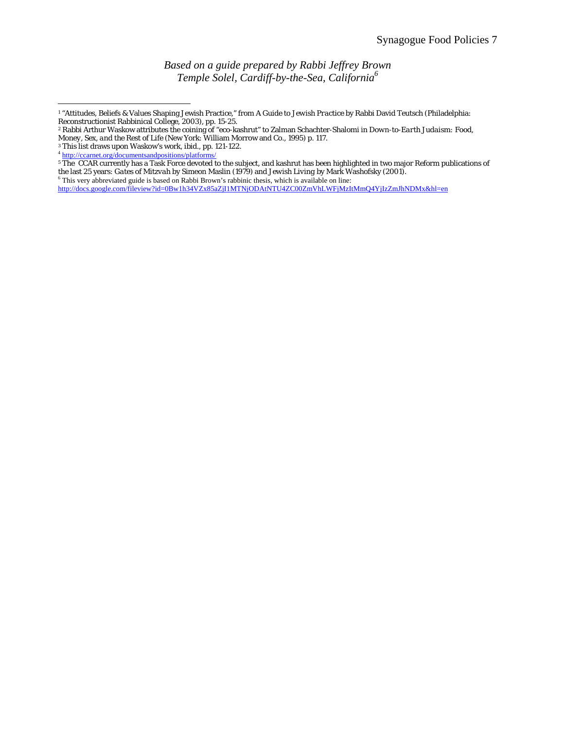*Based on a guide prepared by Rabbi Jeffrey Brown Temple Solel, Cardiff-by-the-Sea, California6*

 $\overline{a}$ 

<sup>1 &</sup>quot;Attitudes, Beliefs & Values Shaping Jewish Practice," from *A Guide to Jewish Practice* by Rabbi David Teutsch (Philadelphia:

Reconstructionist Rabbinical College, 2003), pp. 15-25. 2 Rabbi Arthur Waskow attributes the coining of "eco-kashrut" to Zalman Schachter-Shalomi in *Down-to-Earth Judaism: Food, Money, Sex, and the Rest of Life* (New York: William Morrow and Co., 1995) p. 117. <sup>3</sup> This list draws upon Waskow's work, ibid., pp. 121-122.

<sup>&</sup>lt;sup>4</sup> http://ccarnet.org/documentsandpositions/platform

<sup>&</sup>lt;sup>5</sup> The CCAR currently has a Task Force devoted to the subject, and kashrut has been highlighted in two major Reform publications of the last 25 years: *Gates of Mitzvah* by Simeon Maslin (1979) and *Jewish Living* by Mark Washofsky (2001).

<sup>&</sup>lt;sup>6</sup> This very abbreviated guide is based on Rabbi Brown's rabbinic thesis, which is available on line:

http://docs.google.com/fileview?id=0Bw1h34VZx85aZjI1MTNjODAtNTU4ZC00ZmVhLWFjMzItMmQ4YjIzZmJhNDMx&hl=en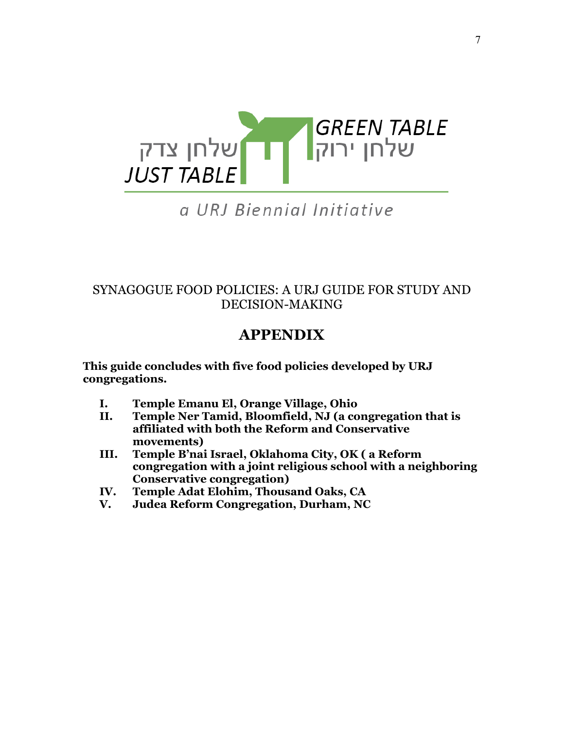

# a URJ Biennial Initiative

### SYNAGOGUE FOOD POLICIES: A URJ GUIDE FOR STUDY AND DECISION-MAKING

# **APPENDIX**

**This guide concludes with five food policies developed by URJ congregations.**

- **I. Temple Emanu El, Orange Village, Ohio**
- **II. Temple Ner Tamid, Bloomfield, NJ (a congregation that is affiliated with both the Reform and Conservative movements)**
- **III. Temple B'nai Israel, Oklahoma City, OK ( a Reform congregation with a joint religious school with a neighboring Conservative congregation)**
- **IV. Temple Adat Elohim, Thousand Oaks, CA**
- **V. Judea Reform Congregation, Durham, NC**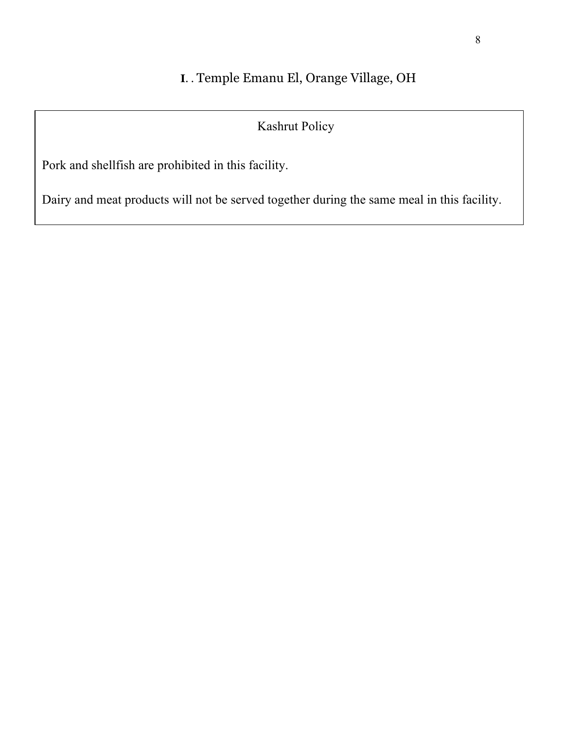# **I**. . Temple Emanu El, Orange Village, OH

# Kashrut Policy

Pork and shellfish are prohibited in this facility.

Dairy and meat products will not be served together during the same meal in this facility.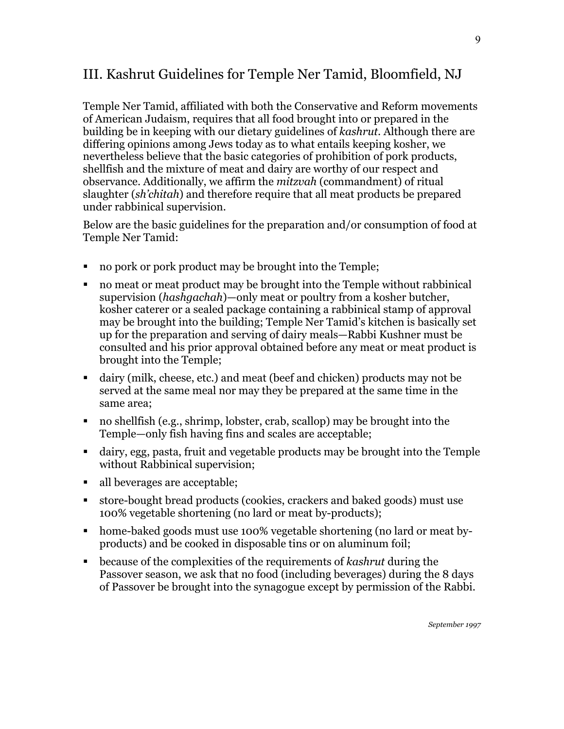# III. Kashrut Guidelines for Temple Ner Tamid, Bloomfield, NJ

Temple Ner Tamid, affiliated with both the Conservative and Reform movements of American Judaism, requires that all food brought into or prepared in the building be in keeping with our dietary guidelines of *kashrut*. Although there are differing opinions among Jews today as to what entails keeping kosher, we nevertheless believe that the basic categories of prohibition of pork products, shellfish and the mixture of meat and dairy are worthy of our respect and observance. Additionally, we affirm the *mitzvah* (commandment) of ritual slaughter (*sh'chitah*) and therefore require that all meat products be prepared under rabbinical supervision.

Below are the basic guidelines for the preparation and/or consumption of food at Temple Ner Tamid:

- no pork or pork product may be brought into the Temple;
- no meat or meat product may be brought into the Temple without rabbinical supervision (*hashgachah*)—only meat or poultry from a kosher butcher, kosher caterer or a sealed package containing a rabbinical stamp of approval may be brought into the building; Temple Ner Tamid's kitchen is basically set up for the preparation and serving of dairy meals—Rabbi Kushner must be consulted and his prior approval obtained before any meat or meat product is brought into the Temple;
- dairy (milk, cheese, etc.) and meat (beef and chicken) products may not be served at the same meal nor may they be prepared at the same time in the same area;
- no shellfish (e.g., shrimp, lobster, crab, scallop) may be brought into the Temple—only fish having fins and scales are acceptable;
- dairy, egg, pasta, fruit and vegetable products may be brought into the Temple without Rabbinical supervision;
- all beverages are acceptable;
- store-bought bread products (cookies, crackers and baked goods) must use 100% vegetable shortening (no lard or meat by-products);
- home-baked goods must use 100% vegetable shortening (no lard or meat byproducts) and be cooked in disposable tins or on aluminum foil;
- because of the complexities of the requirements of *kashrut* during the Passover season, we ask that no food (including beverages) during the 8 days of Passover be brought into the synagogue except by permission of the Rabbi.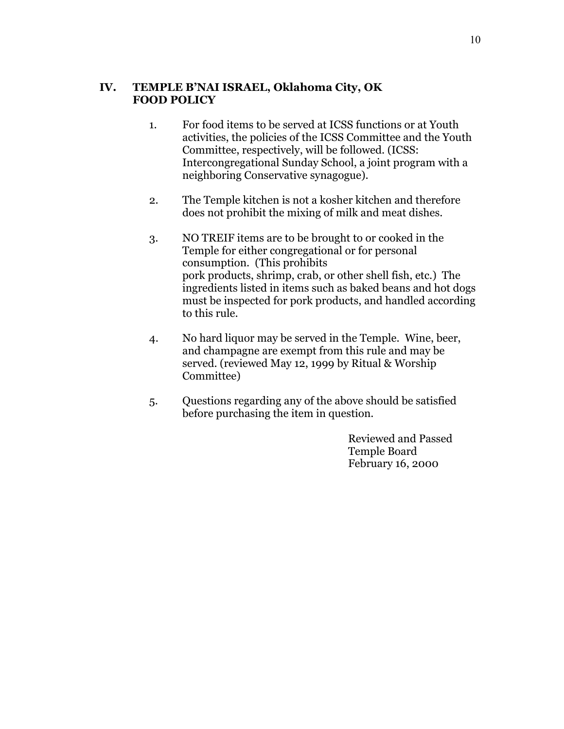#### **IV. TEMPLE B'NAI ISRAEL, Oklahoma City, OK FOOD POLICY**

- 1. For food items to be served at ICSS functions or at Youth activities, the policies of the ICSS Committee and the Youth Committee, respectively, will be followed. (ICSS: Intercongregational Sunday School, a joint program with a neighboring Conservative synagogue).
- 2. The Temple kitchen is not a kosher kitchen and therefore does not prohibit the mixing of milk and meat dishes.
- 3. NO TREIF items are to be brought to or cooked in the Temple for either congregational or for personal consumption. (This prohibits pork products, shrimp, crab, or other shell fish, etc.) The ingredients listed in items such as baked beans and hot dogs must be inspected for pork products, and handled according to this rule.
- 4. No hard liquor may be served in the Temple. Wine, beer, and champagne are exempt from this rule and may be served. (reviewed May 12, 1999 by Ritual & Worship Committee)
- 5. Questions regarding any of the above should be satisfied before purchasing the item in question.

Reviewed and Passed Temple Board February 16, 2000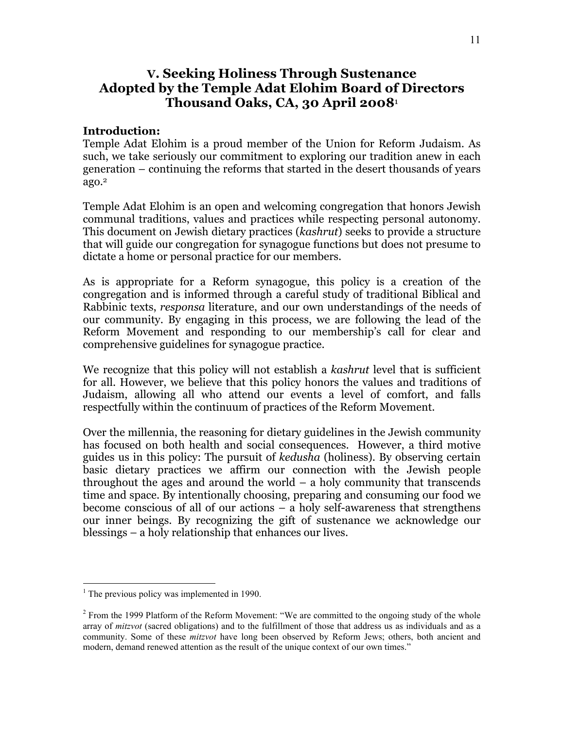### **V. Seeking Holiness Through Sustenance Adopted by the Temple Adat Elohim Board of Directors Thousand Oaks, CA, 30 April 2008**<sup>1</sup>

#### **Introduction:**

Temple Adat Elohim is a proud member of the Union for Reform Judaism. As such, we take seriously our commitment to exploring our tradition anew in each generation – continuing the reforms that started in the desert thousands of years ago.2

Temple Adat Elohim is an open and welcoming congregation that honors Jewish communal traditions, values and practices while respecting personal autonomy. This document on Jewish dietary practices (*kashrut*) seeks to provide a structure that will guide our congregation for synagogue functions but does not presume to dictate a home or personal practice for our members.

As is appropriate for a Reform synagogue, this policy is a creation of the congregation and is informed through a careful study of traditional Biblical and Rabbinic texts, *responsa* literature, and our own understandings of the needs of our community. By engaging in this process, we are following the lead of the Reform Movement and responding to our membership's call for clear and comprehensive guidelines for synagogue practice.

We recognize that this policy will not establish a *kashrut* level that is sufficient for all. However, we believe that this policy honors the values and traditions of Judaism, allowing all who attend our events a level of comfort, and falls respectfully within the continuum of practices of the Reform Movement.

Over the millennia, the reasoning for dietary guidelines in the Jewish community has focused on both health and social consequences. However, a third motive guides us in this policy: The pursuit of *kedusha* (holiness). By observing certain basic dietary practices we affirm our connection with the Jewish people throughout the ages and around the world – a holy community that transcends time and space. By intentionally choosing, preparing and consuming our food we become conscious of all of our actions – a holy self-awareness that strengthens our inner beings. By recognizing the gift of sustenance we acknowledge our blessings – a holy relationship that enhances our lives.

 $\frac{1}{1}$  $<sup>1</sup>$  The previous policy was implemented in 1990.</sup>

 $2^2$  From the 1999 Platform of the Reform Movement: "We are committed to the ongoing study of the whole array of *mitzvot* (sacred obligations) and to the fulfillment of those that address us as individuals and as a community. Some of these *mitzvot* have long been observed by Reform Jews; others, both ancient and modern, demand renewed attention as the result of the unique context of our own times."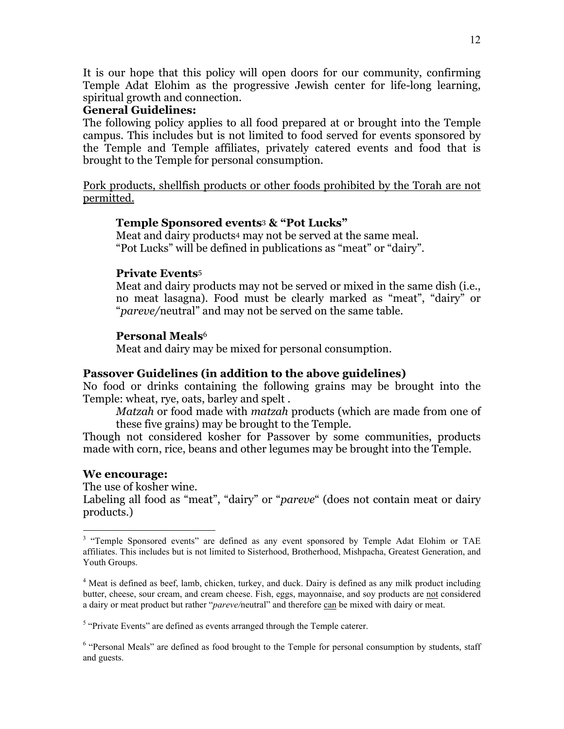It is our hope that this policy will open doors for our community, confirming Temple Adat Elohim as the progressive Jewish center for life-long learning, spiritual growth and connection.

#### **General Guidelines:**

The following policy applies to all food prepared at or brought into the Temple campus. This includes but is not limited to food served for events sponsored by the Temple and Temple affiliates, privately catered events and food that is brought to the Temple for personal consumption.

Pork products, shellfish products or other foods prohibited by the Torah are not permitted.

#### **Temple Sponsored events**3 **& "Pot Lucks"**

Meat and dairy products4 may not be served at the same meal. "Pot Lucks" will be defined in publications as "meat" or "dairy".

#### **Private Events**<sup>5</sup>

Meat and dairy products may not be served or mixed in the same dish (i.e., no meat lasagna). Food must be clearly marked as "meat", "dairy" or "*pareve/*neutral" and may not be served on the same table.

#### **Personal Meals**<sup>6</sup>

Meat and dairy may be mixed for personal consumption.

#### **Passover Guidelines (in addition to the above guidelines)**

No food or drinks containing the following grains may be brought into the Temple: wheat, rye, oats, barley and spelt .

*Matzah* or food made with *matzah* products (which are made from one of these five grains) may be brought to the Temple.

Though not considered kosher for Passover by some communities, products made with corn, rice, beans and other legumes may be brought into the Temple.

#### **We encourage:**

The use of kosher wine.

Labeling all food as "meat", "dairy" or "*pareve*" (does not contain meat or dairy products.)

<sup>&</sup>lt;sup>3</sup> <sup>3</sup> "Temple Sponsored events" are defined as any event sponsored by Temple Adat Elohim or TAE affiliates. This includes but is not limited to Sisterhood, Brotherhood, Mishpacha, Greatest Generation, and Youth Groups.

<sup>&</sup>lt;sup>4</sup> Meat is defined as beef, lamb, chicken, turkey, and duck. Dairy is defined as any milk product including butter, cheese, sour cream, and cream cheese. Fish, eggs, mayonnaise, and soy products are not considered a dairy or meat product but rather "*pareve/*neutral" and therefore can be mixed with dairy or meat.

<sup>&</sup>lt;sup>5</sup> "Private Events" are defined as events arranged through the Temple caterer.

<sup>&</sup>lt;sup>6</sup> "Personal Meals" are defined as food brought to the Temple for personal consumption by students, staff and guests.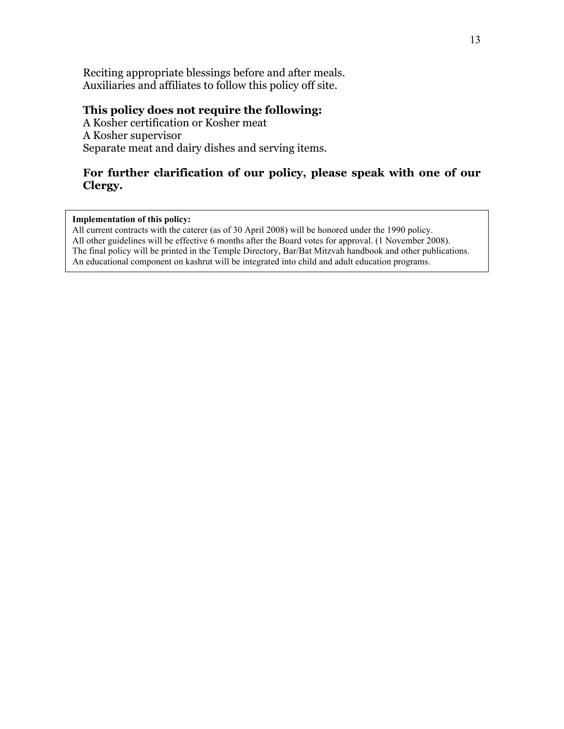Reciting appropriate blessings before and after meals. Auxiliaries and affiliates to follow this policy off site.

#### **This policy does not require the following:**

A Kosher certification or Kosher meat A Kosher supervisor Separate meat and dairy dishes and serving items.

#### **For further clarification of our policy, please speak with one of our Clergy.**

#### **Implementation of this policy:**

All current contracts with the caterer (as of 30 April 2008) will be honored under the 1990 policy. All other guidelines will be effective 6 months after the Board votes for approval. (1 November 2008). The final policy will be printed in the Temple Directory, Bar/Bat Mitzvah handbook and other publications. An educational component on kashrut will be integrated into child and adult education programs.